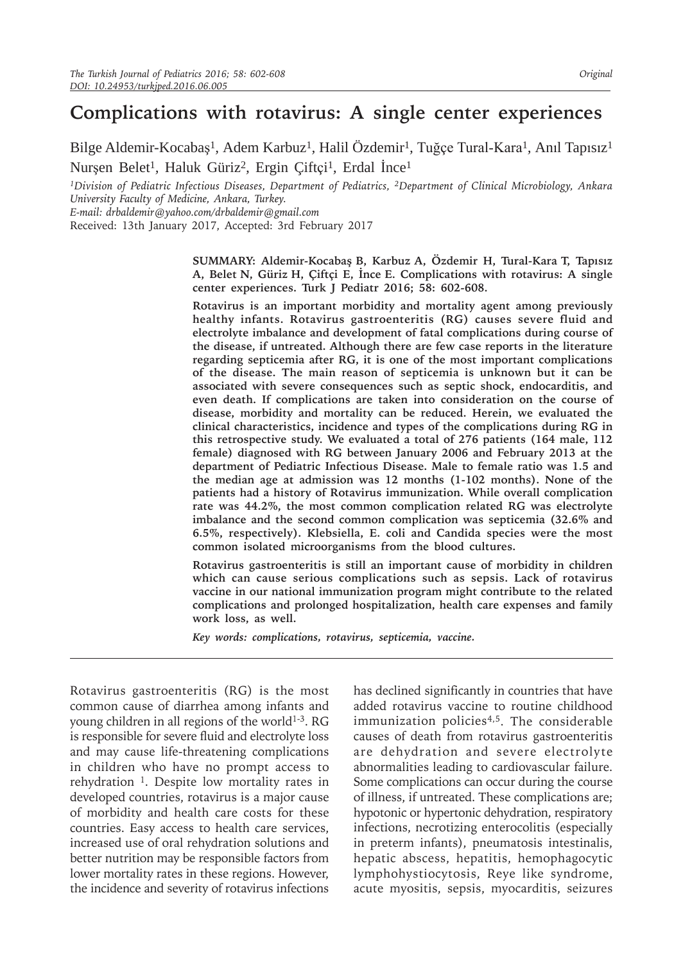# **Complications with rotavirus: A single center experiences**

Bilge Aldemir-Kocabaş1*,* Adem Karbuz1*,* Halil Özdemir1*,* Tuğçe Tural-Kara1*,* Anıl Tapısız1 Nurşen Belet1*,* Haluk Güriz2*,* Ergin Çiftçi <sup>1</sup>*,* Erdal İnce1

*<sup>1</sup>Division of Pediatric Infectious Diseases, Department of Pediatrics, 2Department of Clinical Microbiology, Ankara University Faculty of Medicine, Ankara, Turkey.* 

*E-mail: drbaldemir@yahoo.com/drbaldemir@gmail.com*

Received: 13th January 2017, Accepted: 3rd February 2017

**SUMMARY: Aldemir-Kocabaş B, Karbuz A, Özdemir H, Tural-Kara T, Tapısız A, Belet N, Güriz H, Çiftçi E, İnce E. Complications with rotavirus: A single center experiences. Turk J Pediatr 2016; 58: 602-608.**

**Rotavirus is an important morbidity and mortality agent among previously healthy infants. Rotavirus gastroenteritis (RG) causes severe fluid and electrolyte imbalance and development of fatal complications during course of the disease, if untreated. Although there are few case reports in the literature regarding septicemia after RG, it is one of the most important complications of the disease. The main reason of septicemia is unknown but it can be associated with severe consequences such as septic shock, endocarditis, and even death. If complications are taken into consideration on the course of disease, morbidity and mortality can be reduced. Herein, we evaluated the clinical characteristics, incidence and types of the complications during RG in this retrospective study. We evaluated a total of 276 patients (164 male, 112 female) diagnosed with RG between January 2006 and February 2013 at the department of Pediatric Infectious Disease. Male to female ratio was 1.5 and the median age at admission was 12 months (1-102 months). None of the patients had a history of Rotavirus immunization. While overall complication rate was 44.2%, the most common complication related RG was electrolyte imbalance and the second common complication was septicemia (32.6% and 6.5%, respectively). Klebsiella, E. coli and Candida species were the most common isolated microorganisms from the blood cultures.** 

**Rotavirus gastroenteritis is still an important cause of morbidity in children which can cause serious complications such as sepsis. Lack of rotavirus vaccine in our national immunization program might contribute to the related complications and prolonged hospitalization, health care expenses and family work loss, as well.** 

*Key words: complications, rotavirus, septicemia, vaccine.*

Rotavirus gastroenteritis (RG) is the most common cause of diarrhea among infants and young children in all regions of the world $1-3$ . RG is responsible for severe fluid and electrolyte loss and may cause life-threatening complications in children who have no prompt access to rehydration  $1$ . Despite low mortality rates in developed countries, rotavirus is a major cause of morbidity and health care costs for these countries. Easy access to health care services, increased use of oral rehydration solutions and better nutrition may be responsible factors from lower mortality rates in these regions. However, the incidence and severity of rotavirus infections

has declined significantly in countries that have added rotavirus vaccine to routine childhood immunization policies4,5. The considerable causes of death from rotavirus gastroenteritis are dehydration and severe electrolyte abnormalities leading to cardiovascular failure. Some complications can occur during the course of illness, if untreated. These complications are; hypotonic or hypertonic dehydration, respiratory infections, necrotizing enterocolitis (especially in preterm infants), pneumatosis intestinalis, hepatic abscess, hepatitis, hemophagocytic lymphohystiocytosis, Reye like syndrome, acute myositis, sepsis, myocarditis, seizures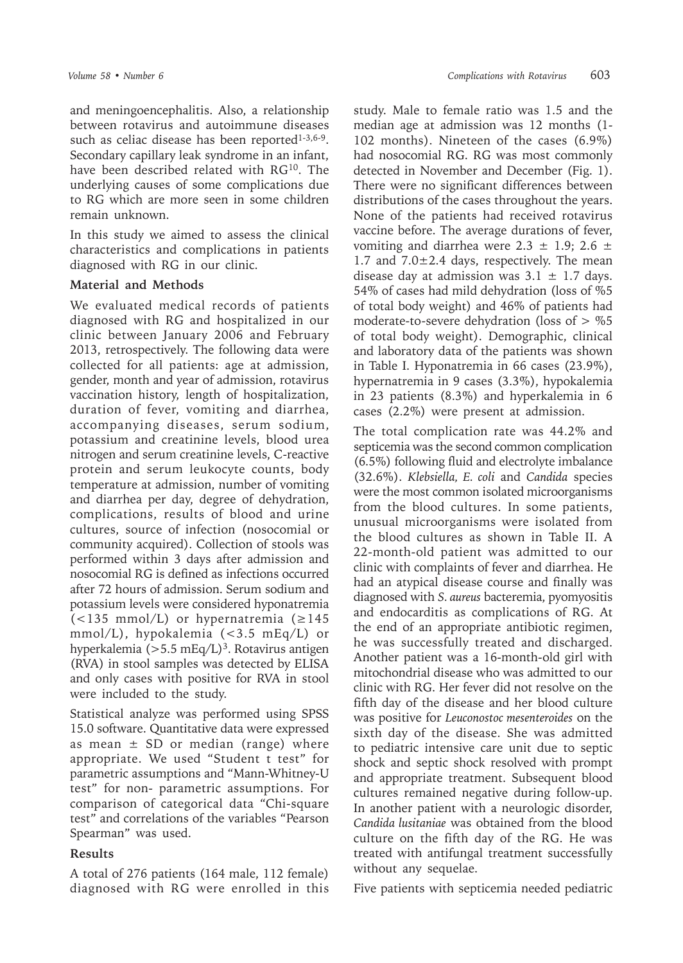and meningoencephalitis. Also, a relationship between rotavirus and autoimmune diseases such as celiac disease has been reported $1-3,6-9$ . Secondary capillary leak syndrome in an infant, have been described related with RG<sup>10</sup>. The underlying causes of some complications due to RG which are more seen in some children remain unknown.

In this study we aimed to assess the clinical characteristics and complications in patients diagnosed with RG in our clinic.

### **Material and Methods**

We evaluated medical records of patients diagnosed with RG and hospitalized in our clinic between January 2006 and February 2013, retrospectively. The following data were collected for all patients: age at admission, gender, month and year of admission, rotavirus vaccination history, length of hospitalization, duration of fever, vomiting and diarrhea, accompanying diseases, serum sodium, potassium and creatinine levels, blood urea nitrogen and serum creatinine levels, C-reactive protein and serum leukocyte counts, body temperature at admission, number of vomiting and diarrhea per day, degree of dehydration, complications, results of blood and urine cultures, source of infection (nosocomial or community acquired). Collection of stools was performed within 3 days after admission and nosocomial RG is defined as infections occurred after 72 hours of admission. Serum sodium and potassium levels were considered hyponatremia (<135 mmol/L) or hypernatremia (≥145 mmol/L), hypokalemia (<3.5 mEq/L) or hyperkalemia ( $>5.5$  mEq/L)<sup>3</sup>. Rotavirus antigen (RVA) in stool samples was detected by ELISA and only cases with positive for RVA in stool were included to the study.

Statistical analyze was performed using SPSS 15.0 software. Quantitative data were expressed as mean  $\pm$  SD or median (range) where appropriate. We used "Student t test" for parametric assumptions and "Mann-Whitney-U test" for non- parametric assumptions. For comparison of categorical data "Chi-square test" and correlations of the variables "Pearson Spearman" was used.

## **Results**

A total of 276 patients (164 male, 112 female) diagnosed with RG were enrolled in this

study. Male to female ratio was 1.5 and the median age at admission was 12 months (1- 102 months). Nineteen of the cases (6.9%) had nosocomial RG. RG was most commonly detected in November and December (Fig. 1). There were no significant differences between distributions of the cases throughout the years. None of the patients had received rotavirus vaccine before. The average durations of fever, vomiting and diarrhea were  $2.3 \pm 1.9$ ;  $2.6 \pm 1.9$ 1.7 and  $7.0 \pm 2.4$  days, respectively. The mean disease day at admission was  $3.1 \pm 1.7$  days. 54% of cases had mild dehydration (loss of %5 of total body weight) and 46% of patients had moderate-to-severe dehydration (loss of  $>$  %5 of total body weight). Demographic, clinical and laboratory data of the patients was shown in Table I. Hyponatremia in 66 cases (23.9%), hypernatremia in 9 cases (3.3%), hypokalemia in 23 patients (8.3%) and hyperkalemia in 6 cases (2.2%) were present at admission.

The total complication rate was 44.2% and septicemia was the second common complication (6.5%) following fluid and electrolyte imbalance (32.6%). *Klebsiella, E. coli* and *Candida* species were the most common isolated microorganisms from the blood cultures. In some patients, unusual microorganisms were isolated from the blood cultures as shown in Table II. A 22-month-old patient was admitted to our clinic with complaints of fever and diarrhea. He had an atypical disease course and finally was diagnosed with *S. aureus* bacteremia, pyomyositis and endocarditis as complications of RG. At the end of an appropriate antibiotic regimen, he was successfully treated and discharged. Another patient was a 16-month-old girl with mitochondrial disease who was admitted to our clinic with RG. Her fever did not resolve on the fifth day of the disease and her blood culture was positive for *Leuconostoc mesenteroides* on the sixth day of the disease. She was admitted to pediatric intensive care unit due to septic shock and septic shock resolved with prompt and appropriate treatment. Subsequent blood cultures remained negative during follow-up. In another patient with a neurologic disorder, *Candida lusitaniae* was obtained from the blood culture on the fifth day of the RG. He was treated with antifungal treatment successfully without any sequelae.

Five patients with septicemia needed pediatric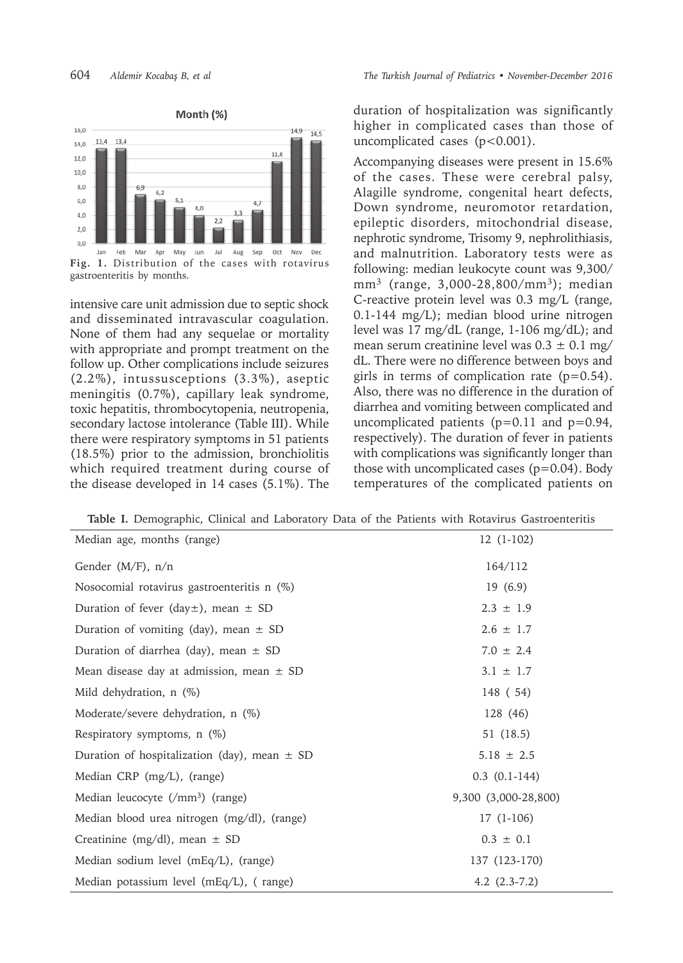

gastroenteritis by months.

intensive care unit admission due to septic shock and disseminated intravascular coagulation. None of them had any sequelae or mortality with appropriate and prompt treatment on the follow up. Other complications include seizures (2.2%), intussusceptions (3.3%), aseptic meningitis (0.7%), capillary leak syndrome, toxic hepatitis, thrombocytopenia, neutropenia, secondary lactose intolerance (Table III). While there were respiratory symptoms in 51 patients (18.5%) prior to the admission, bronchiolitis which required treatment during course of the disease developed in 14 cases (5.1%). The

duration of hospitalization was significantly higher in complicated cases than those of uncomplicated cases (p<0.001).

Accompanying diseases were present in 15.6% of the cases. These were cerebral palsy, Alagille syndrome, congenital heart defects, Down syndrome, neuromotor retardation, epileptic disorders, mitochondrial disease, nephrotic syndrome, Trisomy 9, nephrolithiasis, and malnutrition. Laboratory tests were as following: median leukocyte count was 9,300/ mm<sup>3</sup> (range, 3,000-28,800/mm<sup>3</sup>); median C-reactive protein level was 0.3 mg/L (range, 0.1-144 mg/L); median blood urine nitrogen level was 17 mg/dL (range, 1-106 mg/dL); and mean serum creatinine level was  $0.3 \pm 0.1$  mg/ dL. There were no difference between boys and girls in terms of complication rate  $(p=0.54)$ . Also, there was no difference in the duration of diarrhea and vomiting between complicated and uncomplicated patients  $(p=0.11$  and  $p=0.94$ , respectively). The duration of fever in patients with complications was significantly longer than those with uncomplicated cases  $(p=0.04)$ . Body temperatures of the complicated patients on

**Table I.** Demographic, Clinical and Laboratory Data of the Patients with Rotavirus Gastroenteritis

| Median age, months (range)                       | $12(1-102)$          |
|--------------------------------------------------|----------------------|
| Gender $(M/F)$ , n/n                             | 164/112              |
| Nosocomial rotavirus gastroenteritis n (%)       | 19(6.9)              |
| Duration of fever (day $\pm$ ), mean $\pm$ SD    | $2.3 \pm 1.9$        |
| Duration of vomiting (day), mean $\pm$ SD        | $2.6 \pm 1.7$        |
| Duration of diarrhea (day), mean $\pm$ SD        | $7.0 \pm 2.4$        |
| Mean disease day at admission, mean $\pm$ SD     | $3.1 \pm 1.7$        |
| Mild dehydration, n (%)                          | 148 (54)             |
| Moderate/severe dehydration, n (%)               | 128 (46)             |
| Respiratory symptoms, $n$ (%)                    | 51 (18.5)            |
| Duration of hospitalization (day), mean $\pm$ SD | $5.18 \pm 2.5$       |
| Median CRP (mg/L), (range)                       | $0.3$ $(0.1-144)$    |
| Median leucocyte (/mm <sup>3</sup> ) (range)     | 9,300 (3,000-28,800) |
| Median blood urea nitrogen (mg/dl), (range)      | $17(1-106)$          |
| Creatinine (mg/dl), mean $\pm$ SD                | $0.3 \pm 0.1$        |
| Median sodium level (mEq/L), (range)             | 137 (123-170)        |
| Median potassium level (mEq/L), (range)          | 4.2 $(2.3-7.2)$      |
|                                                  |                      |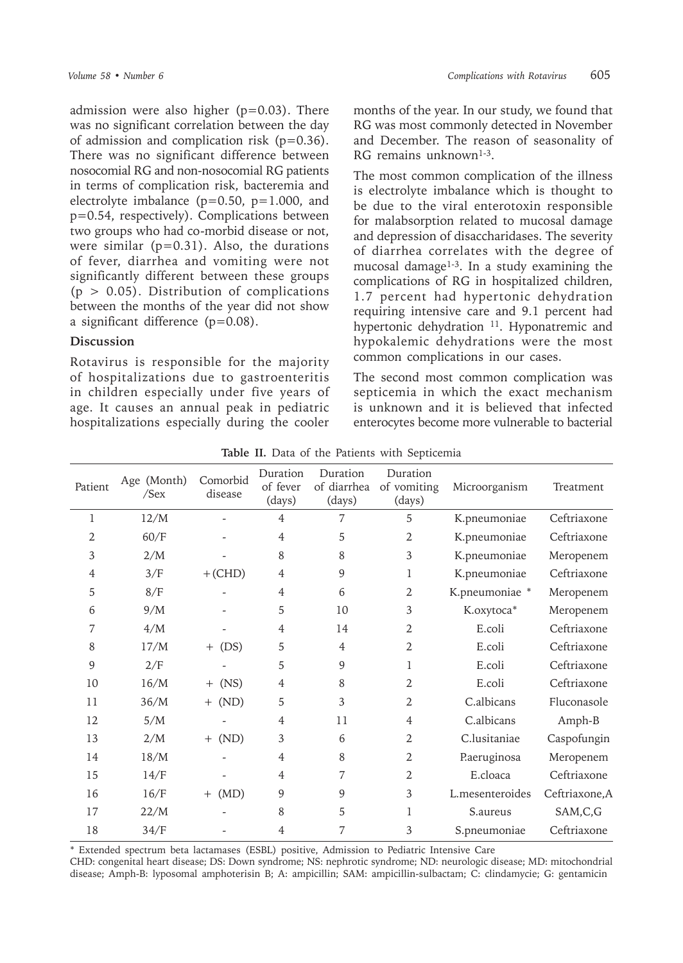admission were also higher (p=0.03). There was no significant correlation between the day of admission and complication risk  $(p=0.36)$ . There was no significant difference between nosocomial RG and non-nosocomial RG patients in terms of complication risk, bacteremia and electrolyte imbalance ( $p=0.50$ ,  $p=1.000$ , and p=0.54, respectively). Complications between two groups who had co-morbid disease or not, were similar ( $p=0.31$ ). Also, the durations of fever, diarrhea and vomiting were not significantly different between these groups  $(p > 0.05)$ . Distribution of complications between the months of the year did not show a significant difference (p=0.08).

#### **Discussion**

Rotavirus is responsible for the majority of hospitalizations due to gastroenteritis in children especially under five years of age. It causes an annual peak in pediatric hospitalizations especially during the cooler

months of the year. In our study, we found that RG was most commonly detected in November and December. The reason of seasonality of RG remains unknown<sup>1-3</sup>

The most common complication of the illness is electrolyte imbalance which is thought to be due to the viral enterotoxin responsible for malabsorption related to mucosal damage and depression of disaccharidases. The severity of diarrhea correlates with the degree of mucosal damage<sup>1-3</sup>. In a study examining the complications of RG in hospitalized children, 1.7 percent had hypertonic dehydration requiring intensive care and 9.1 percent had hypertonic dehydration <sup>11</sup>. Hyponatremic and hypokalemic dehydrations were the most common complications in our cases.

The second most common complication was septicemia in which the exact mechanism is unknown and it is believed that infected enterocytes become more vulnerable to bacterial

| Patient | Age (Month)<br>$/$ Sex | Comorbid<br>disease | Duration<br>of fever<br>(days) | Duration<br>of diarrhea<br>(days) | Duration<br>of vomiting<br>(days) | Microorganism   | Treatment      |
|---------|------------------------|---------------------|--------------------------------|-----------------------------------|-----------------------------------|-----------------|----------------|
| 1       | 12/M                   |                     | $\overline{4}$                 | 7                                 | 5                                 | K.pneumoniae    | Ceftriaxone    |
| 2       | 60/F                   |                     | 4                              | 5                                 | 2                                 | K.pneumoniae    | Ceftriaxone    |
| 3       | 2/M                    |                     | 8                              | 8                                 | 3                                 | K.pneumoniae    | Meropenem      |
| 4       | 3/F                    | $+$ (CHD)           | 4                              | 9                                 | 1                                 | K.pneumoniae    | Ceftriaxone    |
| 5       | 8/F                    |                     | $\overline{4}$                 | 6                                 | $\overline{2}$                    | K.pneumoniae *  | Meropenem      |
| 6       | 9/M                    |                     | 5                              | 10                                | 3                                 | K.oxytoca*      | Meropenem      |
| 7       | 4/M                    |                     | $\overline{4}$                 | 14                                | 2                                 | E.coli          | Ceftriaxone    |
| 8       | 17/M                   | (DS)<br>$+$         | 5                              | $\overline{4}$                    | 2                                 | E.coli          | Ceftriaxone    |
| 9       | 2/F                    |                     | 5                              | 9                                 | 1                                 | E.coli          | Ceftriaxone    |
| 10      | 16/M                   | (NS)<br>$^{+}$      | 4                              | 8                                 | 2                                 | E.coli          | Ceftriaxone    |
| 11      | 36/M                   | (ND)<br>$+$         | 5                              | 3                                 | $\overline{2}$                    | C.albicans      | Fluconasole    |
| 12      | 5/M                    |                     | $\overline{4}$                 | 11                                | 4                                 | C.albicans      | Amph-B         |
| 13      | 2/M                    | (ND)<br>$+$         | 3                              | 6                                 | $\overline{2}$                    | C.lusitaniae    | Caspofungin    |
| 14      | 18/M                   |                     | $\overline{4}$                 | 8                                 | 2                                 | P.aeruginosa    | Meropenem      |
| 15      | 14/F                   |                     | 4                              | 7                                 | $\overline{2}$                    | E.cloaca        | Ceftriaxone    |
| 16      | 16/F                   | $+$ (MD)            | 9                              | 9                                 | 3                                 | L.mesenteroides | Ceftriaxone, A |
| 17      | 22/M                   |                     | 8                              | 5                                 | 1                                 | S.aureus        | SAM,C,G        |
| 18      | 34/F                   |                     | 4                              | 7                                 | 3                                 | S.pneumoniae    | Ceftriaxone    |

**Table II.** Data of the Patients with Septicemia

\* Extended spectrum beta lactamases (ESBL) positive, Admission to Pediatric Intensive Care

CHD: congenital heart disease; DS: Down syndrome; NS: nephrotic syndrome; ND: neurologic disease; MD: mitochondrial disease; Amph-B: lyposomal amphoterisin B; A: ampicillin; SAM: ampicillin-sulbactam; C: clindamycie; G: gentamicin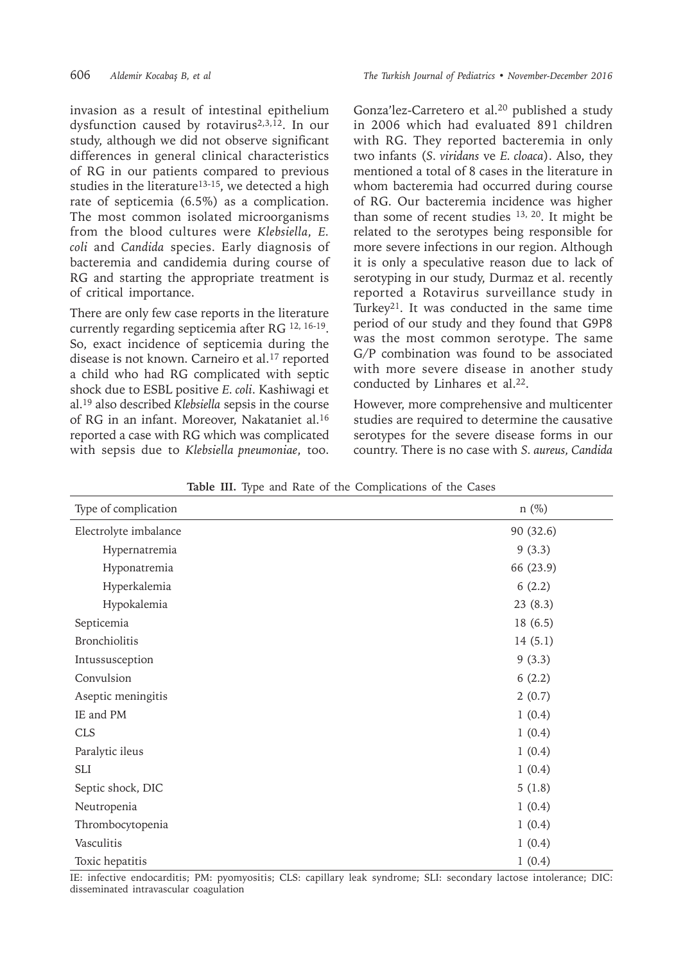invasion as a result of intestinal epithelium dysfunction caused by rotavirus<sup>2,3,12</sup>. In our study, although we did not observe significant differences in general clinical characteristics of RG in our patients compared to previous studies in the literature<sup>13-15</sup>, we detected a high rate of septicemia (6.5%) as a complication. The most common isolated microorganisms from the blood cultures were *Klebsiella*, *E. coli* and *Candida* species. Early diagnosis of bacteremia and candidemia during course of RG and starting the appropriate treatment is of critical importance.

There are only few case reports in the literature currently regarding septicemia after RG 12, 16-19. So, exact incidence of septicemia during the disease is not known. Carneiro et al.<sup>17</sup> reported a child who had RG complicated with septic shock due to ESBL positive *E. coli*. Kashiwagi et al.<sup>19</sup> also described *Klebsiella* sepsis in the course of RG in an infant. Moreover, Nakataniet al.<sup>16</sup> reported a case with RG which was complicated with sepsis due to *Klebsiella pneumoniae*, too. Gonza'lez-Carretero et al.<sup>20</sup> published a study in 2006 which had evaluated 891 children with RG. They reported bacteremia in only two infants (*S. viridans* ve *E. cloaca*). Also, they mentioned a total of 8 cases in the literature in whom bacteremia had occurred during course of RG. Our bacteremia incidence was higher than some of recent studies 13, 20. It might be related to the serotypes being responsible for more severe infections in our region. Although it is only a speculative reason due to lack of serotyping in our study, Durmaz et al. recently reported a Rotavirus surveillance study in Turkey21. It was conducted in the same time period of our study and they found that G9P8 was the most common serotype. The same G/P combination was found to be associated with more severe disease in another study conducted by Linhares et al.<sup>22</sup>.

However, more comprehensive and multicenter studies are required to determine the causative serotypes for the severe disease forms in our country. There is no case with *S. aureus, Candida* 

| Type of complication  | $n$ (%)   |
|-----------------------|-----------|
| Electrolyte imbalance | 90 (32.6) |
| Hypernatremia         | 9(3.3)    |
| Hyponatremia          | 66 (23.9) |
| Hyperkalemia          | 6(2.2)    |
| Hypokalemia           | 23(8.3)   |
| Septicemia            | 18(6.5)   |
| Bronchiolitis         | 14(5.1)   |
| Intussusception       | 9(3.3)    |
| Convulsion            | 6(2.2)    |
| Aseptic meningitis    | 2(0.7)    |
| IE and PM             | 1(0.4)    |
| <b>CLS</b>            | 1(0.4)    |
| Paralytic ileus       | 1(0.4)    |
| <b>SLI</b>            | 1(0.4)    |
| Septic shock, DIC     | 5(1.8)    |
| Neutropenia           | 1(0.4)    |
| Thrombocytopenia      | 1(0.4)    |
| Vasculitis            | 1(0.4)    |
| Toxic hepatitis       | 1(0.4)    |

**Table III.** Type and Rate of the Complications of the Cases

IE: infective endocarditis; PM: pyomyositis; CLS: capillary leak syndrome; SLI: secondary lactose intolerance; DIC: disseminated intravascular coagulation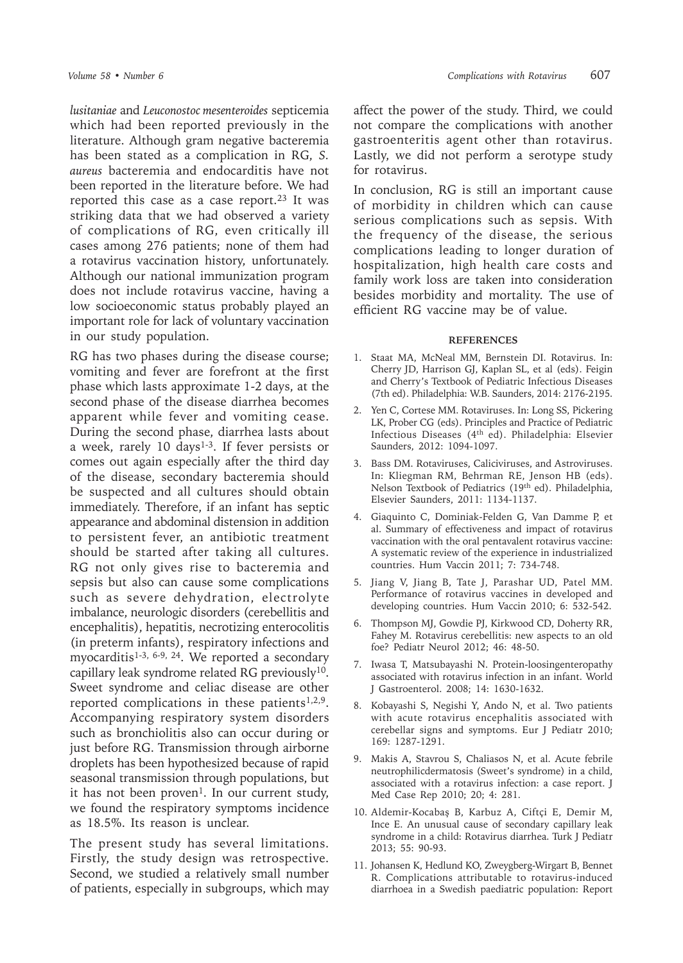*lusitaniae* and *Leuconostoc mesenteroides* septicemia which had been reported previously in the literature. Although gram negative bacteremia has been stated as a complication in RG, *S. aureus* bacteremia and endocarditis have not been reported in the literature before. We had reported this case as a case report.<sup>23</sup> It was striking data that we had observed a variety of complications of RG, even critically ill cases among 276 patients; none of them had a rotavirus vaccination history, unfortunately. Although our national immunization program does not include rotavirus vaccine, having a low socioeconomic status probably played an important role for lack of voluntary vaccination in our study population.

RG has two phases during the disease course; vomiting and fever are forefront at the first phase which lasts approximate 1-2 days, at the second phase of the disease diarrhea becomes apparent while fever and vomiting cease. During the second phase, diarrhea lasts about a week, rarely  $10 \text{ days}^{1-3}$ . If fever persists or comes out again especially after the third day of the disease, secondary bacteremia should be suspected and all cultures should obtain immediately. Therefore, if an infant has septic appearance and abdominal distension in addition to persistent fever, an antibiotic treatment should be started after taking all cultures. RG not only gives rise to bacteremia and sepsis but also can cause some complications such as severe dehydration, electrolyte imbalance, neurologic disorders (cerebellitis and encephalitis), hepatitis, necrotizing enterocolitis (in preterm infants), respiratory infections and myocarditis<sup>1-3, 6-9, 24</sup>. We reported a secondary capillary leak syndrome related RG previously<sup>10</sup>. Sweet syndrome and celiac disease are other reported complications in these patients $1,2,9$ . Accompanying respiratory system disorders such as bronchiolitis also can occur during or just before RG. Transmission through airborne droplets has been hypothesized because of rapid seasonal transmission through populations, but it has not been proven<sup>1</sup>. In our current study, we found the respiratory symptoms incidence as 18.5%. Its reason is unclear.

The present study has several limitations. Firstly, the study design was retrospective. Second, we studied a relatively small number of patients, especially in subgroups, which may affect the power of the study. Third, we could not compare the complications with another gastroenteritis agent other than rotavirus. Lastly, we did not perform a serotype study for rotavirus.

In conclusion, RG is still an important cause of morbidity in children which can cause serious complications such as sepsis. With the frequency of the disease, the serious complications leading to longer duration of hospitalization, high health care costs and family work loss are taken into consideration besides morbidity and mortality. The use of efficient RG vaccine may be of value.

#### **REFERENCES**

- 1. Staat MA, McNeal MM, Bernstein DI. Rotavirus. In: Cherry JD, Harrison GJ, Kaplan SL, et al (eds). Feigin and Cherry's Textbook of Pediatric Infectious Diseases (7th ed). Philadelphia: W.B. Saunders, 2014: 2176-2195.
- 2. Yen C, Cortese MM. Rotaviruses. In: Long SS, Pickering LK, Prober CG (eds). Principles and Practice of Pediatric Infectious Diseases (4th ed). Philadelphia: Elsevier Saunders, 2012: 1094-1097.
- 3. Bass DM. Rotaviruses, Caliciviruses, and Astroviruses. In: Kliegman RM, Behrman RE, Jenson HB (eds). Nelson Textbook of Pediatrics (19th ed). Philadelphia, Elsevier Saunders, 2011: 1134-1137.
- 4. Giaquinto C, Dominiak-Felden G, Van Damme P, et al. Summary of effectiveness and impact of rotavirus vaccination with the oral pentavalent rotavirus vaccine: A systematic review of the experience in industrialized countries. Hum Vaccin 2011; 7: 734-748.
- 5. Jiang V, Jiang B, Tate J, Parashar UD, Patel MM. Performance of rotavirus vaccines in developed and developing countries. Hum Vaccin 2010; 6: 532-542.
- 6. Thompson MJ, Gowdie PJ, Kirkwood CD, Doherty RR, Fahey M. Rotavirus cerebellitis: new aspects to an old foe? Pediatr Neurol 2012; 46: 48-50.
- 7. Iwasa T, Matsubayashi N. Protein-loosingenteropathy associated with rotavirus infection in an infant. World J Gastroenterol. 2008; 14: 1630-1632.
- 8. Kobayashi S, Negishi Y, Ando N, et al. Two patients with acute rotavirus encephalitis associated with cerebellar signs and symptoms. Eur J Pediatr 2010; 169: 1287-1291.
- 9. Makis A, Stavrou S, Chaliasos N, et al. Acute febrile neutrophilicdermatosis (Sweet's syndrome) in a child, associated with a rotavirus infection: a case report. J Med Case Rep 2010; 20; 4: 281.
- 10. Aldemir-Kocabaş B, Karbuz A, Ciftçi E, Demir M, Ince E. An unusual cause of secondary capillary leak syndrome in a child: Rotavirus diarrhea. Turk J Pediatr 2013; 55: 90-93.
- 11. Johansen K, Hedlund KO, Zweygberg-Wirgart B, Bennet R. Complications attributable to rotavirus-induced diarrhoea in a Swedish paediatric population: Report